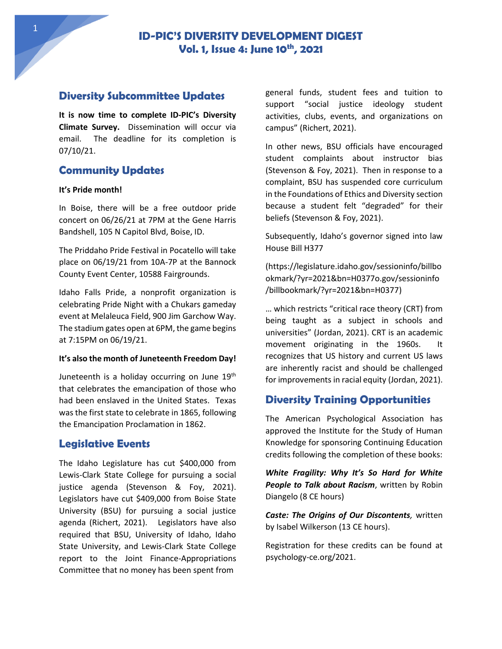# **Diversity Subcommittee Updates**

**It is now time to complete ID-PIC's Diversity Climate Survey.** Dissemination will occur via email. The deadline for its completion is 07/10/21.

# **Community Updates**

#### **It's Pride month!**

In Boise, there will be a free outdoor pride concert on 06/26/21 at 7PM at the Gene Harris Bandshell, 105 N Capitol Blvd, Boise, ID.

The Priddaho Pride Festival in Pocatello will take place on 06/19/21 from 10A-7P at the Bannock County Event Center, 10588 Fairgrounds.

Idaho Falls Pride, a nonprofit organization is celebrating Pride Night with a Chukars gameday event at Melaleuca Field, 900 Jim Garchow Way. The stadium gates open at 6PM, the game begins at 7:15PM on 06/19/21.

#### **It's also the month of Juneteenth Freedom Day!**

Juneteenth is a holiday occurring on June 19<sup>th</sup> that celebrates the emancipation of those who had been enslaved in the United States. Texas was the first state to celebrate in 1865, following the Emancipation Proclamation in 1862.

## **Legislative Events**

The Idaho Legislature has cut \$400,000 from Lewis-Clark State College for pursuing a social justice agenda (Stevenson & Foy, 2021). Legislators have cut \$409,000 from Boise State University (BSU) for pursuing a social justice agenda (Richert, 2021). Legislators have also required that BSU, University of Idaho, Idaho State University, and Lewis-Clark State College report to the Joint Finance-Appropriations Committee that no money has been spent from

general funds, student fees and tuition to support "social justice ideology student activities, clubs, events, and organizations on campus" (Richert, 2021).

In other news, BSU officials have encouraged student complaints about instructor bias (Stevenson & Foy, 2021). Then in response to a complaint, BSU has suspended core curriculum in the Foundations of Ethics and Diversity section because a student felt "degraded" for their beliefs (Stevenson & Foy, 2021).

Subsequently, Idaho's governor signed into law House Bill H377

(https://legislature.idaho.gov/sessioninfo/billbo okmark/?yr=2021&bn=H0377o.gov/sessioninfo /billbookmark/?yr=2021&bn=H0377)

… which restricts "critical race theory (CRT) from being taught as a subject in schools and universities" (Jordan, 2021). CRT is an academic movement originating in the 1960s. It recognizes that US history and current US laws are inherently racist and should be challenged for improvements in racial equity (Jordan, 2021).

# **Diversity Training Opportunities**

The American Psychological Association has approved the Institute for the Study of Human Knowledge for sponsoring Continuing Education credits following the completion of these books:

*White Fragility: Why It's So Hard for White People to Talk about Racism*, written by Robin Diangelo (8 CE hours)

*Caste: The Origins of Our Discontents,* written by Isabel Wilkerson (13 CE hours).

Registration for these credits can be found at psychology-ce.org/2021.